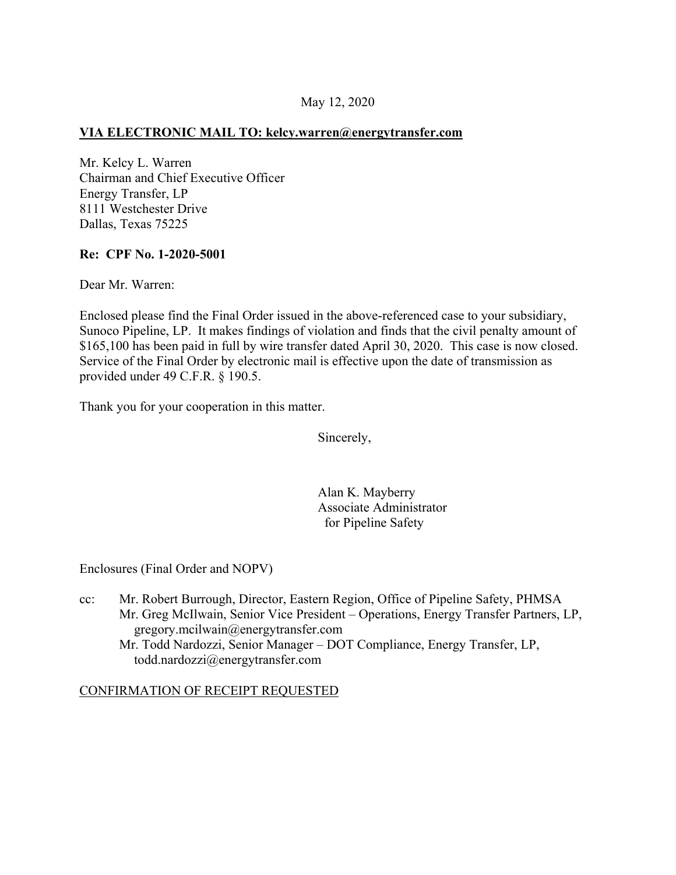## May 12, 2020

#### **VIA ELECTRONIC MAIL TO: [kelcy.warren@energytransfer.com](mailto:kelcy.warren@energytransfer.com)**

Mr. Kelcy L. Warren Chairman and Chief Executive Officer Energy Transfer, LP 8111 Westchester Drive Dallas, Texas 75225

#### **Re: CPF No. 1-2020-5001**

Dear Mr. Warren:

Enclosed please find the Final Order issued in the above-referenced case to your subsidiary, Sunoco Pipeline, LP. It makes findings of violation and finds that the civil penalty amount of \$165,100 has been paid in full by wire transfer dated April 30, 2020. This case is now closed. Service of the Final Order by electronic mail is effective upon the date of transmission as provided under 49 C.F.R. § 190.5.

Thank you for your cooperation in this matter.

Sincerely,

Alan K. Mayberry Associate Administrator for Pipeline Safety

Enclosures (Final Order and NOPV)

cc: Mr. Robert Burrough, Director, Eastern Region, Office of Pipeline Safety, PHMSA Mr. Greg McIlwain, Senior Vice President – Operations, Energy Transfer Partners, LP, [gregory.mcilwain@energytransfer.com](mailto:gregory.mcilwain@energytransfer.com) Mr. Todd Nardozzi, Senior Manager – DOT Compliance, Energy Transfer, LP, [todd.nardozzi@energytransfer.com](mailto:todd.nardozzi@energytransfer.com)

### CONFIRMATION OF RECEIPT REQUESTED